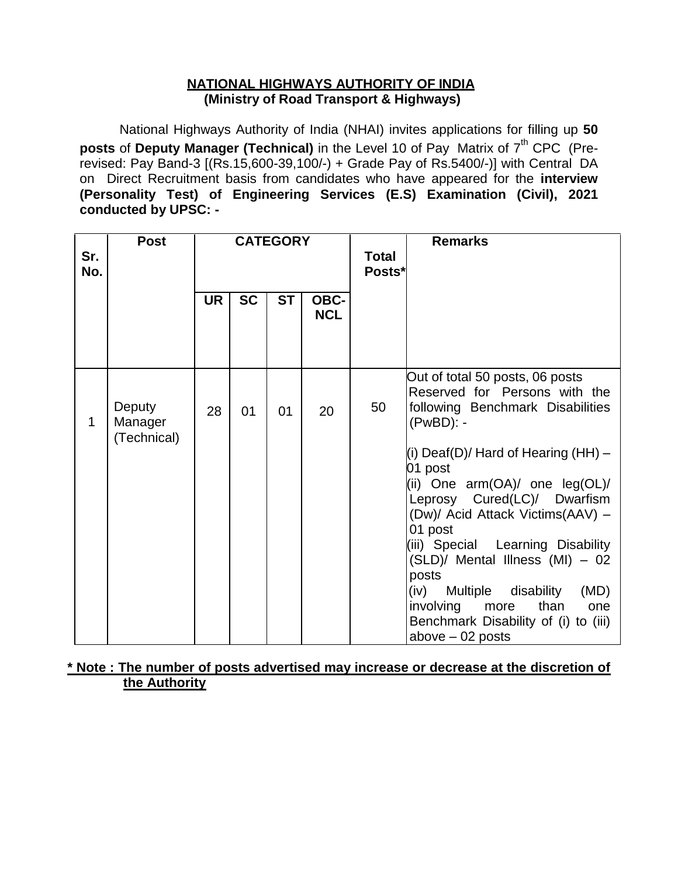#### **NATIONAL HIGHWAYS AUTHORITY OF INDIA (Ministry of Road Transport & Highways)**

National Highways Authority of India (NHAI) invites applications for filling up **50 posts** of Deputy Manager (Technical) in the Level 10 of Pay Matrix of 7<sup>th</sup> CPC (Prerevised: Pay Band-3 [(Rs.15,600-39,100/-) + Grade Pay of Rs.5400/-)] with Central DA on Direct Recruitment basis from candidates who have appeared for the **interview (Personality Test) of Engineering Services (E.S) Examination (Civil), 2021 conducted by UPSC: -**

| Sr.<br>No.  | <b>Post</b>                      | <b>CATEGORY</b> |           |           |                    | Total<br>Posts* | <b>Remarks</b>                                                                                                                                                                                                                                                                                                                                                                                                                                                                                                        |
|-------------|----------------------------------|-----------------|-----------|-----------|--------------------|-----------------|-----------------------------------------------------------------------------------------------------------------------------------------------------------------------------------------------------------------------------------------------------------------------------------------------------------------------------------------------------------------------------------------------------------------------------------------------------------------------------------------------------------------------|
|             |                                  | <b>UR</b>       | <b>SC</b> | <b>ST</b> | OBC-<br><b>NCL</b> |                 |                                                                                                                                                                                                                                                                                                                                                                                                                                                                                                                       |
| $\mathbf 1$ | Deputy<br>Manager<br>(Technical) | 28              | 01        | 01        | 20                 | 50              | Out of total 50 posts, 06 posts<br>Reserved for Persons with the<br>following Benchmark Disabilities<br>(PwBD): -<br>(i) $Deaf(D)/$ Hard of Hearing (HH) $-$<br>01 post<br>(ii) One $arm(OA)/$ one $leg(OL)/$<br>Leprosy Cured(LC)/ Dwarfism<br>(Dw)/ Acid Attack Victims(AAV) -<br>01 post<br>(iii) Special Learning Disability<br>(SLD)/ Mental Illness (MI) - 02<br>posts<br>Multiple disability<br>(iv)<br>(MD)<br>involving<br>than<br>more<br>one<br>Benchmark Disability of (i) to (iii)<br>$above - 02 posts$ |

**\* Note : The number of posts advertised may increase or decrease at the discretion of the Authority**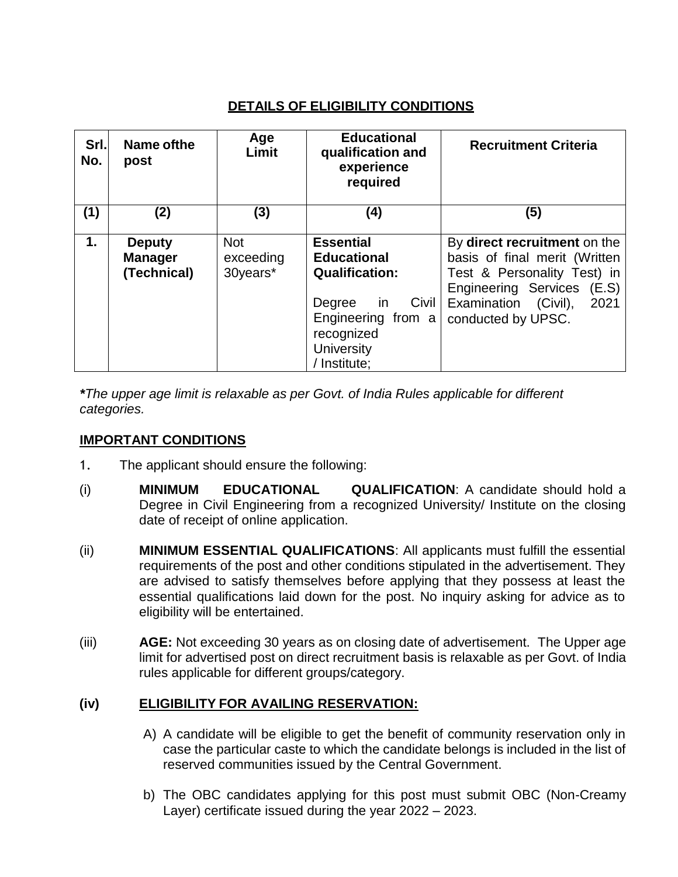# **DETAILS OF ELIGIBILITY CONDITIONS**

| Srl.<br>No. | Name of the<br>post                            | Age<br>Limit                        | <b>Educational</b><br>qualification and<br>experience<br>required                                                                                                  | <b>Recruitment Criteria</b>                                                                                                                                                      |
|-------------|------------------------------------------------|-------------------------------------|--------------------------------------------------------------------------------------------------------------------------------------------------------------------|----------------------------------------------------------------------------------------------------------------------------------------------------------------------------------|
| (1)         | (2)                                            | (3)                                 | (4)                                                                                                                                                                | (5)                                                                                                                                                                              |
| 1.          | <b>Deputy</b><br><b>Manager</b><br>(Technical) | <b>Not</b><br>exceeding<br>30years* | <b>Essential</b><br><b>Educational</b><br><b>Qualification:</b><br>Civil<br>Degree<br>in.<br>Engineering from a<br>recognized<br><b>University</b><br>/ Institute; | By direct recruitment on the<br>basis of final merit (Written<br>Test & Personality Test) in<br>Engineering Services (E.S)<br>2021<br>Examination (Civil),<br>conducted by UPSC. |

*\*The upper age limit is relaxable as per Govt. of India Rules applicable for different categories.*

## **IMPORTANT CONDITIONS**

- 1. The applicant should ensure the following:
- (i) **MINIMUM EDUCATIONAL QUALIFICATION**: A candidate should hold a Degree in Civil Engineering from a recognized University/ Institute on the closing date of receipt of online application.
- (ii) **MINIMUM ESSENTIAL QUALIFICATIONS**: All applicants must fulfill the essential requirements of the post and other conditions stipulated in the advertisement. They are advised to satisfy themselves before applying that they possess at least the essential qualifications laid down for the post. No inquiry asking for advice as to eligibility will be entertained.
- (iii) **AGE:** Not exceeding 30 years as on closing date of advertisement. The Upper age limit for advertised post on direct recruitment basis is relaxable as per Govt. of India rules applicable for different groups/category.

## **(iv) ELIGIBILITY FOR AVAILING RESERVATION:**

- A) A candidate will be eligible to get the benefit of community reservation only in case the particular caste to which the candidate belongs is included in the list of reserved communities issued by the Central Government.
- b) The OBC candidates applying for this post must submit OBC (Non-Creamy Layer) certificate issued during the year 2022 – 2023.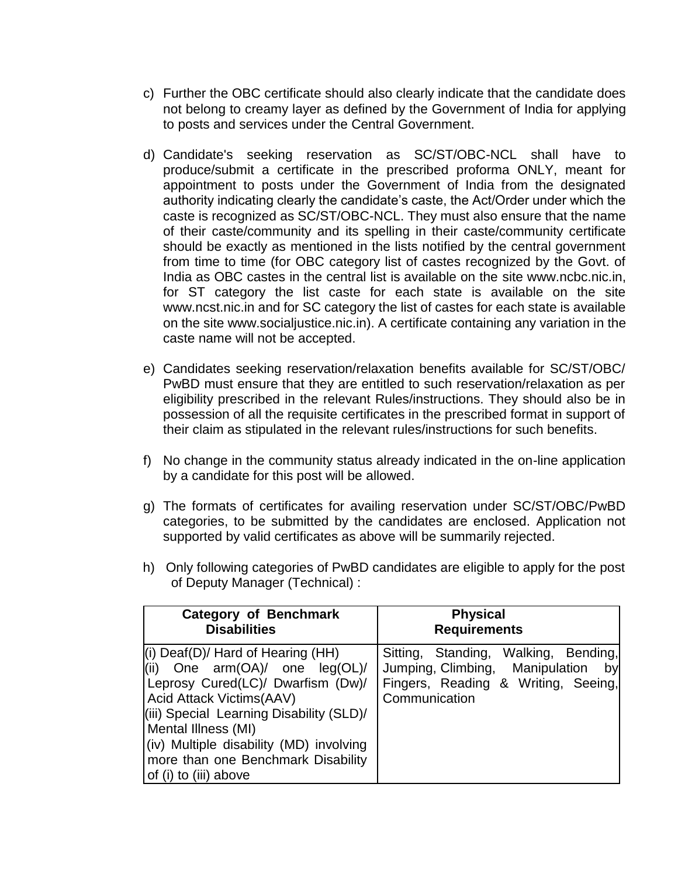- c) Further the OBC certificate should also clearly indicate that the candidate does not belong to creamy layer as defined by the Government of India for applying to posts and services under the Central Government.
- d) Candidate's seeking reservation as SC/ST/OBC-NCL shall have to produce/submit a certificate in the prescribed proforma ONLY, meant for appointment to posts under the Government of India from the designated authority indicating clearly the candidate's caste, the Act/Order under which the caste is recognized as SC/ST/OBC-NCL. They must also ensure that the name of their caste/community and its spelling in their caste/community certificate should be exactly as mentioned in the lists notified by the central government from time to time (for OBC category list of castes recognized by the Govt. of India as OBC castes in the central list is available on the site www.ncbc.nic.in, for ST category the list caste for each state is available on the site www.ncst.nic.in and for SC category the list of castes for each state is available on the site www.socialjustice.nic.in). A certificate containing any variation in the caste name will not be accepted.
- e) Candidates seeking reservation/relaxation benefits available for SC/ST/OBC/ PwBD must ensure that they are entitled to such reservation/relaxation as per eligibility prescribed in the relevant Rules/instructions. They should also be in possession of all the requisite certificates in the prescribed format in support of their claim as stipulated in the relevant rules/instructions for such benefits.
- f) No change in the community status already indicated in the on-line application by a candidate for this post will be allowed.
- g) The formats of certificates for availing reservation under SC/ST/OBC/PwBD categories, to be submitted by the candidates are enclosed. Application not supported by valid certificates as above will be summarily rejected.

| <b>Category of Benchmark</b>                                                                                                                                                                                                                                                                                                              | <b>Physical</b>                                                                                                                       |
|-------------------------------------------------------------------------------------------------------------------------------------------------------------------------------------------------------------------------------------------------------------------------------------------------------------------------------------------|---------------------------------------------------------------------------------------------------------------------------------------|
| <b>Disabilities</b>                                                                                                                                                                                                                                                                                                                       | <b>Requirements</b>                                                                                                                   |
| $(i)$ Deaf(D)/ Hard of Hearing (HH)<br>$\vert$ (ii) One arm(OA)/ one $\vert$ eg(OL)/<br>Leprosy Cured(LC)/ Dwarfism (Dw)/<br><b>Acid Attack Victims(AAV)</b><br>(iii) Special Learning Disability (SLD)/<br>Mental Illness (MI)<br>(iv) Multiple disability (MD) involving<br>more than one Benchmark Disability<br>of (i) to (iii) above | Sitting, Standing, Walking, Bending,<br>Jumping, Climbing, Manipulation<br>by<br>Fingers, Reading & Writing, Seeing,<br>Communication |

h) Only following categories of PwBD candidates are eligible to apply for the post of Deputy Manager (Technical) :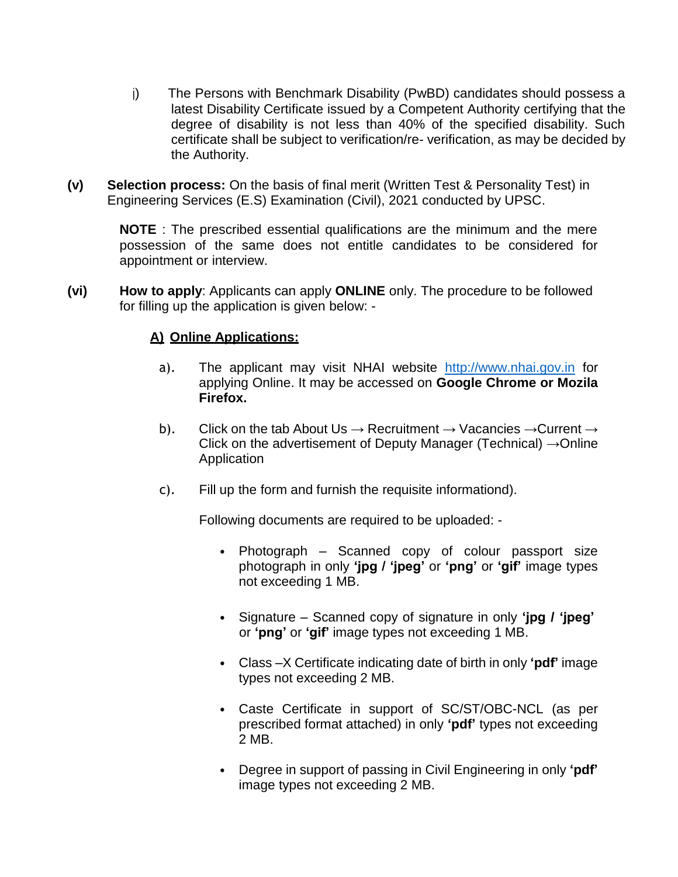- j) The Persons with Benchmark Disability (PwBD) candidates should possess a latest Disability Certificate issued by a Competent Authority certifying that the degree of disability is not less than 40% of the specified disability. Such certificate shall be subject to verification/re- verification, as may be decided by the Authority.
- **(v) Selection process:** On the basis of final merit (Written Test & Personality Test) in Engineering Services (E.S) Examination (Civil), 2021 conducted by UPSC.

**NOTE** : The prescribed essential qualifications are the minimum and the mere possession of the same does not entitle candidates to be considered for appointment or interview.

**(vi) How to apply**: Applicants can apply **ONLINE** only. The procedure to be followed for filling up the application is given below: -

#### **A) Online Applications:**

- a). The applicant may visit NHAI website http://www.nhai.gov.in for applying Online. It may be accessed on **Google Chrome or Mozila Firefox.**
- b). Click on the tab About Us  $\rightarrow$  Recruitment  $\rightarrow$  Vacancies  $\rightarrow$  Current  $\rightarrow$ Click on the advertisement of Deputy Manager (Technical)  $\rightarrow$  Online Application
- c). Fill up the form and furnish the requisite informationd).

Following documents are required to be uploaded: -

- Photograph Scanned copy of colour passport size photograph in only **'jpg / 'jpeg'** or **'png'** or **'gif'** image types not exceeding 1 MB.
- Signature Scanned copy of signature in only **'jpg / 'jpeg'** or **'png'** or **'gif'** image types not exceeding 1 MB.
- Class –X Certificate indicating date of birth in only **'pdf'** image types not exceeding 2 MB.
- Caste Certificate in support of SC/ST/OBC-NCL (as per prescribed format attached) in only **'pdf'** types not exceeding 2 MB.
- Degree in support of passing in Civil Engineering in only **'pdf'**  image types not exceeding 2 MB.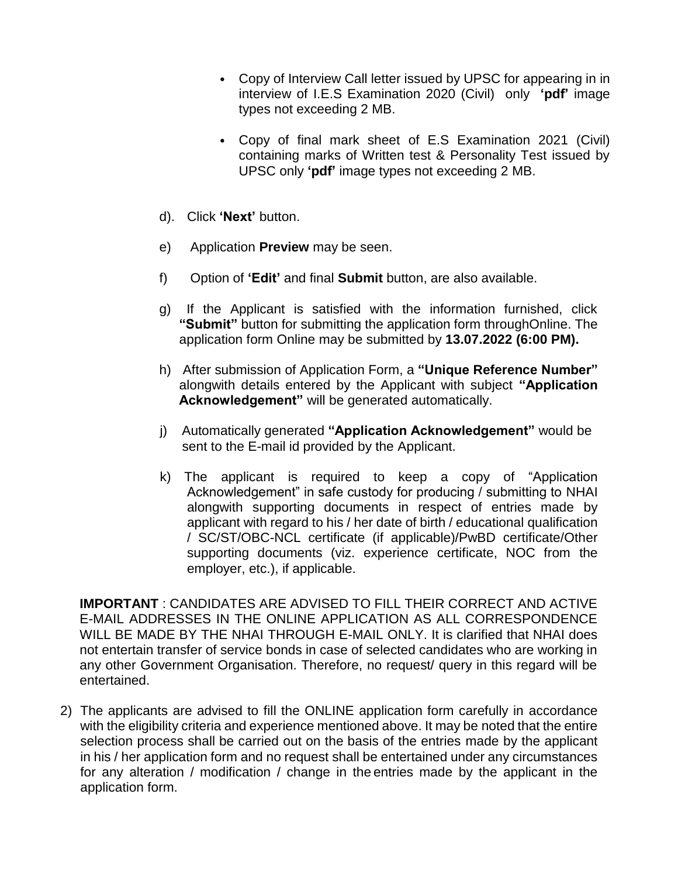- Copy of Interview Call letter issued by UPSC for appearing in in interview of I.E.S Examination 2020 (Civil) only **'pdf'** image types not exceeding 2 MB.
- Copy of final mark sheet of E.S Examination 2021 (Civil) containing marks of Written test & Personality Test issued by UPSC only **'pdf'** image types not exceeding 2 MB.
- d). Click **'Next'** button.
- e) Application **Preview** may be seen.
- f) Option of **'Edit'** and final **Submit** button, are also available.
- g) If the Applicant is satisfied with the information furnished, click **"Submit"** button for submitting the application form throughOnline. The application form Online may be submitted by **13.07.2022 (6:00 PM).**
- h) After submission of Application Form, a **"Unique Reference Number"**  alongwith details entered by the Applicant with subject **"Application Acknowledgement"** will be generated automatically.
- j) Automatically generated **"Application Acknowledgement"** would be sent to the E-mail id provided by the Applicant.
- k) The applicant is required to keep a copy of "Application Acknowledgement" in safe custody for producing / submitting to NHAI alongwith supporting documents in respect of entries made by applicant with regard to his / her date of birth / educational qualification / SC/ST/OBC-NCL certificate (if applicable)/PwBD certificate/Other supporting documents (viz. experience certificate, NOC from the employer, etc.), if applicable.

**IMPORTANT** : CANDIDATES ARE ADVISED TO FILL THEIR CORRECT AND ACTIVE E-MAIL ADDRESSES IN THE ONLINE APPLICATION AS ALL CORRESPONDENCE WILL BE MADE BY THE NHAI THROUGH E-MAIL ONLY. It is clarified that NHAI does not entertain transfer of service bonds in case of selected candidates who are working in any other Government Organisation. Therefore, no request/ query in this regard will be entertained.

2) The applicants are advised to fill the ONLINE application form carefully in accordance with the eligibility criteria and experience mentioned above. It may be noted that the entire selection process shall be carried out on the basis of the entries made by the applicant in his / her application form and no request shall be entertained under any circumstances for any alteration / modification / change in the entries made by the applicant in the application form.